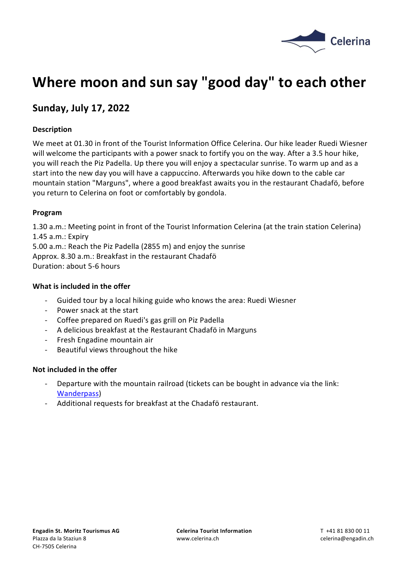

# **Where moon and sun say "good day" to each other**

# **Sunday, July 17, 2022**

## **Description**

We meet at 01.30 in front of the Tourist Information Office Celerina. Our hike leader Ruedi Wiesner will welcome the participants with a power snack to fortify you on the way. After a 3.5 hour hike, you will reach the Piz Padella. Up there you will enjoy a spectacular sunrise. To warm up and as a start into the new day you will have a cappuccino. Afterwards you hike down to the cable car mountain station "Marguns", where a good breakfast awaits you in the restaurant Chadafö, before you return to Celerina on foot or comfortably by gondola.

#### **Program**

1.30 a.m.: Meeting point in front of the Tourist Information Celerina (at the train station Celerina) 1.45 a.m.: Expiry 5.00 a.m.: Reach the Piz Padella (2855 m) and enjoy the sunrise Approx. 8.30 a.m.: Breakfast in the restaurant Chadafö

Duration: about 5-6 hours

#### **What is included in the offer**

- Guided tour by a local hiking guide who knows the area: Ruedi Wiesner
- Power snack at the start
- Coffee prepared on Ruedi's gas grill on Piz Padella
- A delicious breakfast at the Restaurant Chadafö in Marguns
- Fresh Engadine mountain air
- Beautiful views throughout the hike

#### **Not included in the offer**

- Departure with the mountain railroad (tickets can be bought in advance via the link: [Wanderpass\)](https://booking.engadin.ch/de/sommertickets/wander-mehrtagespass?_ga=2.15187830.193699713.1650865650-422531459.1630501896)
- Additional requests for breakfast at the Chadafö restaurant.